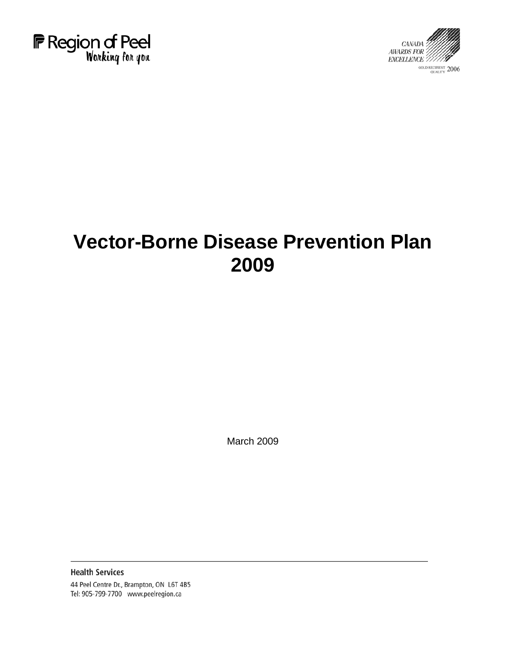



# **Vector-Borne Disease Prevention Plan 2009**

March 2009

**Health Services** 44 Peel Centre Dr., Brampton, ON L6T 4B5 Tel: 905-799-7700 www.peelregion.ca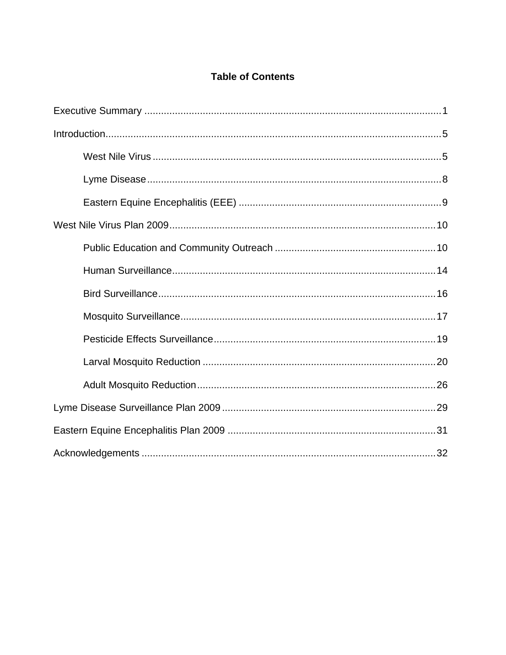# **Table of Contents**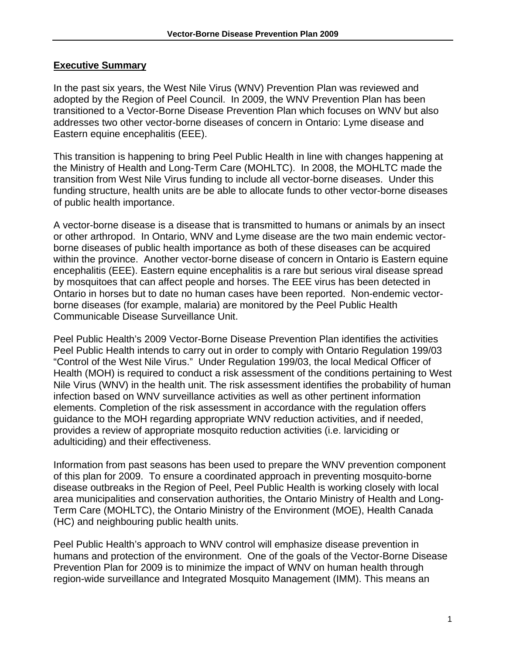#### <span id="page-2-0"></span>**Executive Summary**

In the past six years, the West Nile Virus (WNV) Prevention Plan was reviewed and adopted by the Region of Peel Council. In 2009, the WNV Prevention Plan has been transitioned to a Vector-Borne Disease Prevention Plan which focuses on WNV but also addresses two other vector-borne diseases of concern in Ontario: Lyme disease and Eastern equine encephalitis (EEE).

This transition is happening to bring Peel Public Health in line with changes happening at the Ministry of Health and Long-Term Care (MOHLTC). In 2008, the MOHLTC made the transition from West Nile Virus funding to include all vector-borne diseases. Under this funding structure, health units are be able to allocate funds to other vector-borne diseases of public health importance.

A vector-borne disease is a disease that is transmitted to humans or animals by an insect or other arthropod. In Ontario, WNV and Lyme disease are the two main endemic vectorborne diseases of public health importance as both of these diseases can be acquired within the province. Another vector-borne disease of concern in Ontario is Eastern equine encephalitis (EEE). Eastern equine encephalitis is a rare but serious viral disease spread by mosquitoes that can affect people and horses. The EEE virus has been detected in Ontario in horses but to date no human cases have been reported. Non-endemic vectorborne diseases (for example, malaria) are monitored by the Peel Public Health Communicable Disease Surveillance Unit.

Peel Public Health's 2009 Vector-Borne Disease Prevention Plan identifies the activities Peel Public Health intends to carry out in order to comply with Ontario Regulation 199/03 "Control of the West Nile Virus." Under Regulation 199/03, the local Medical Officer of Health (MOH) is required to conduct a risk assessment of the conditions pertaining to West Nile Virus (WNV) in the health unit. The risk assessment identifies the probability of human infection based on WNV surveillance activities as well as other pertinent information elements. Completion of the risk assessment in accordance with the regulation offers guidance to the MOH regarding appropriate WNV reduction activities, and if needed, provides a review of appropriate mosquito reduction activities (i.e. larviciding or adulticiding) and their effectiveness.

Information from past seasons has been used to prepare the WNV prevention component of this plan for 2009. To ensure a coordinated approach in preventing mosquito-borne disease outbreaks in the Region of Peel, Peel Public Health is working closely with local area municipalities and conservation authorities, the Ontario Ministry of Health and Long-Term Care (MOHLTC), the Ontario Ministry of the Environment (MOE), Health Canada (HC) and neighbouring public health units.

Peel Public Health's approach to WNV control will emphasize disease prevention in humans and protection of the environment. One of the goals of the Vector-Borne Disease Prevention Plan for 2009 is to minimize the impact of WNV on human health through region-wide surveillance and Integrated Mosquito Management (IMM). This means an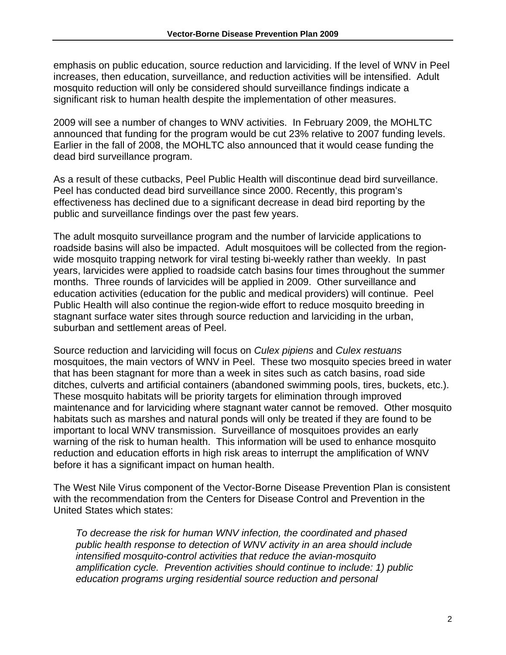emphasis on public education, source reduction and larviciding. If the level of WNV in Peel increases, then education, surveillance, and reduction activities will be intensified. Adult mosquito reduction will only be considered should surveillance findings indicate a significant risk to human health despite the implementation of other measures.

2009 will see a number of changes to WNV activities. In February 2009, the MOHLTC announced that funding for the program would be cut 23% relative to 2007 funding levels. Earlier in the fall of 2008, the MOHLTC also announced that it would cease funding the dead bird surveillance program.

As a result of these cutbacks, Peel Public Health will discontinue dead bird surveillance. Peel has conducted dead bird surveillance since 2000. Recently, this program's effectiveness has declined due to a significant decrease in dead bird reporting by the public and surveillance findings over the past few years.

The adult mosquito surveillance program and the number of larvicide applications to roadside basins will also be impacted. Adult mosquitoes will be collected from the regionwide mosquito trapping network for viral testing bi-weekly rather than weekly. In past years, larvicides were applied to roadside catch basins four times throughout the summer months. Three rounds of larvicides will be applied in 2009. Other surveillance and education activities (education for the public and medical providers) will continue. Peel Public Health will also continue the region-wide effort to reduce mosquito breeding in stagnant surface water sites through source reduction and larviciding in the urban, suburban and settlement areas of Peel.

Source reduction and larviciding will focus on *Culex pipiens* and *Culex restuans* mosquitoes, the main vectors of WNV in Peel. These two mosquito species breed in water that has been stagnant for more than a week in sites such as catch basins, road side ditches, culverts and artificial containers (abandoned swimming pools, tires, buckets, etc.). These mosquito habitats will be priority targets for elimination through improved maintenance and for larviciding where stagnant water cannot be removed. Other mosquito habitats such as marshes and natural ponds will only be treated if they are found to be important to local WNV transmission. Surveillance of mosquitoes provides an early warning of the risk to human health. This information will be used to enhance mosquito reduction and education efforts in high risk areas to interrupt the amplification of WNV before it has a significant impact on human health.

The West Nile Virus component of the Vector-Borne Disease Prevention Plan is consistent with the recommendation from the Centers for Disease Control and Prevention in the United States which states:

*To decrease the risk for human WNV infection, the coordinated and phased public health response to detection of WNV activity in an area should include intensified mosquito-control activities that reduce the avian-mosquito amplification cycle. Prevention activities should continue to include: 1) public education programs urging residential source reduction and personal*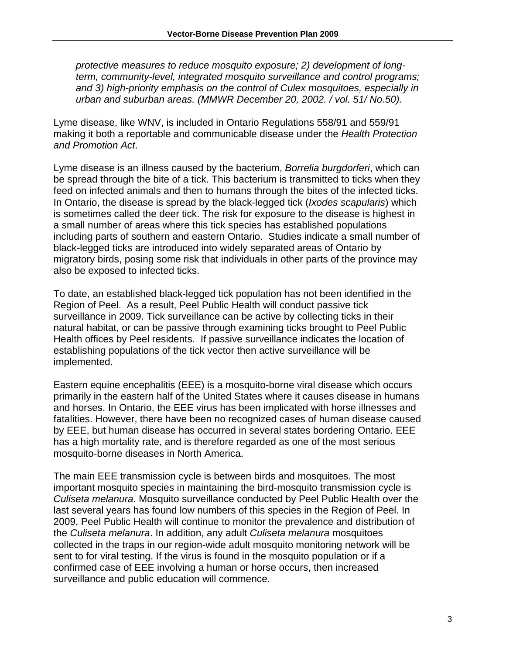*protective measures to reduce mosquito exposure; 2) development of longterm, community-level, integrated mosquito surveillance and control programs; and 3) high-priority emphasis on the control of Culex mosquitoes, especially in urban and suburban areas. (MMWR December 20, 2002. / vol. 51/ No.50).* 

Lyme disease, like WNV, is included in Ontario Regulations 558/91 and 559/91 making it both a reportable and communicable disease under the *Health Protection and Promotion Act*.

Lyme disease is an illness caused by the bacterium, *Borrelia burgdorferi*, which can be spread through the bite of a tick. This bacterium is transmitted to ticks when they feed on infected animals and then to humans through the bites of the infected ticks. In Ontario, the disease is spread by the black-legged tick (*Ixodes scapularis*) which is sometimes called the deer tick. The risk for exposure to the disease is highest in a small number of areas where this tick species has established populations including parts of southern and eastern Ontario. Studies indicate a small number of black-legged ticks are introduced into widely separated areas of Ontario by migratory birds, posing some risk that individuals in other parts of the province may also be exposed to infected ticks.

To date, an established black-legged tick population has not been identified in the Region of Peel. As a result, Peel Public Health will conduct passive tick surveillance in 2009. Tick surveillance can be active by collecting ticks in their natural habitat, or can be passive through examining ticks brought to Peel Public Health offices by Peel residents. If passive surveillance indicates the location of establishing populations of the tick vector then active surveillance will be implemented.

Eastern equine encephalitis (EEE) is a mosquito-borne viral disease which occurs primarily in the eastern half of the United States where it causes disease in humans and horses. In Ontario, the EEE virus has been implicated with horse illnesses and fatalities. However, there have been no recognized cases of human disease caused by EEE, but human disease has occurred in several states bordering Ontario. EEE has a high mortality rate, and is therefore regarded as one of the most serious mosquito-borne diseases in North America.

The main EEE transmission cycle is between birds and mosquitoes. The most important mosquito species in maintaining the bird-mosquito transmission cycle is *Culiseta melanura*. Mosquito surveillance conducted by Peel Public Health over the last several years has found low numbers of this species in the Region of Peel. In 2009, Peel Public Health will continue to monitor the prevalence and distribution of the *Culiseta melanura*. In addition, any adult *Culiseta melanura* mosquitoes collected in the traps in our region-wide adult mosquito monitoring network will be sent to for viral testing. If the virus is found in the mosquito population or if a confirmed case of EEE involving a human or horse occurs, then increased surveillance and public education will commence.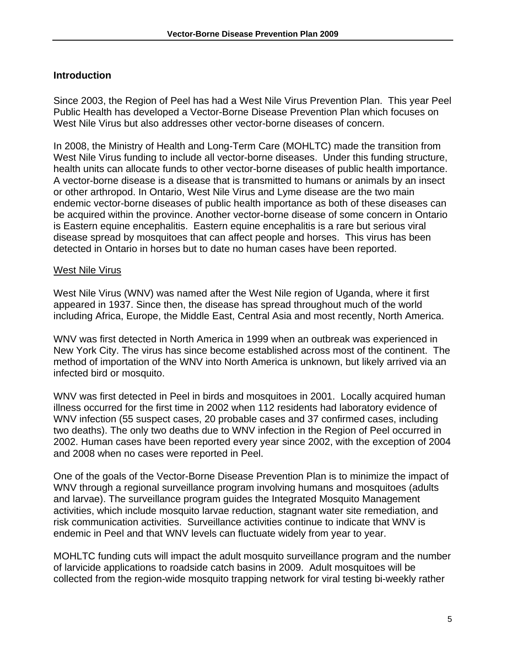## <span id="page-6-0"></span>**Introduction**

Since 2003, the Region of Peel has had a West Nile Virus Prevention Plan. This year Peel Public Health has developed a Vector-Borne Disease Prevention Plan which focuses on West Nile Virus but also addresses other vector-borne diseases of concern.

In 2008, the Ministry of Health and Long-Term Care (MOHLTC) made the transition from West Nile Virus funding to include all vector-borne diseases. Under this funding structure, health units can allocate funds to other vector-borne diseases of public health importance. A vector-borne disease is a disease that is transmitted to humans or animals by an insect or other arthropod. In Ontario, West Nile Virus and Lyme disease are the two main endemic vector-borne diseases of public health importance as both of these diseases can be acquired within the province. Another vector-borne disease of some concern in Ontario is Eastern equine encephalitis. Eastern equine encephalitis is a rare but serious viral disease spread by mosquitoes that can affect people and horses. This virus has been detected in Ontario in horses but to date no human cases have been reported.

#### West Nile Virus

West Nile Virus (WNV) was named after the West Nile region of Uganda, where it first appeared in 1937. Since then, the disease has spread throughout much of the world including Africa, Europe, the Middle East, Central Asia and most recently, North America.

WNV was first detected in North America in 1999 when an outbreak was experienced in New York City. The virus has since become established across most of the continent. The method of importation of the WNV into North America is unknown, but likely arrived via an infected bird or mosquito.

WNV was first detected in Peel in birds and mosquitoes in 2001. Locally acquired human illness occurred for the first time in 2002 when 112 residents had laboratory evidence of WNV infection (55 suspect cases, 20 probable cases and 37 confirmed cases, including two deaths). The only two deaths due to WNV infection in the Region of Peel occurred in 2002. Human cases have been reported every year since 2002, with the exception of 2004 and 2008 when no cases were reported in Peel.

One of the goals of the Vector-Borne Disease Prevention Plan is to minimize the impact of WNV through a regional surveillance program involving humans and mosquitoes (adults and larvae). The surveillance program guides the Integrated Mosquito Management activities, which include mosquito larvae reduction, stagnant water site remediation, and risk communication activities. Surveillance activities continue to indicate that WNV is endemic in Peel and that WNV levels can fluctuate widely from year to year.

MOHLTC funding cuts will impact the adult mosquito surveillance program and the number of larvicide applications to roadside catch basins in 2009. Adult mosquitoes will be collected from the region-wide mosquito trapping network for viral testing bi-weekly rather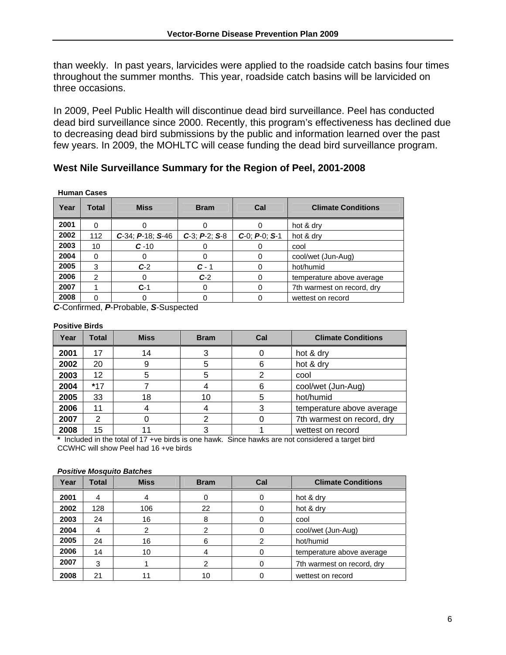than weekly. In past years, larvicides were applied to the roadside catch basins four times throughout the summer months. This year, roadside catch basins will be larvicided on three occasions.

In 2009, Peel Public Health will discontinue dead bird surveillance. Peel has conducted dead bird surveillance since 2000. Recently, this program's effectiveness has declined due to decreasing dead bird submissions by the public and information learned over the past few years. In 2009, the MOHLTC will cease funding the dead bird surveillance program.

#### **West Nile Surveillance Summary for the Region of Peel, 2001-2008**

| <b>Human Cases</b> |  |
|--------------------|--|
|                    |  |

| Year | Total         | <b>Miss</b>              | <b>Bram</b>           | Cal                   | <b>Climate Conditions</b>  |  |
|------|---------------|--------------------------|-----------------------|-----------------------|----------------------------|--|
| 2001 | 0             |                          |                       |                       | hot & dry                  |  |
| 2002 | 112           | $C-34$ ; $P-18$ ; $S-46$ | $C-3$ ; $P-2$ ; $S-8$ | $C-0$ ; $P-0$ ; $S-1$ | hot & dry                  |  |
| 2003 | 10            | $C - 10$                 | O                     |                       | cool                       |  |
| 2004 | 0             |                          | O)                    | 0                     | cool/wet (Jun-Aug)         |  |
| 2005 | 3             | $C-2$                    | $C - 1$               | 0                     | hot/humid                  |  |
| 2006 | $\mathcal{P}$ |                          | $C-2$                 | 0                     | temperature above average  |  |
| 2007 |               | $C-1$                    | O                     | 0                     | 7th warmest on record, dry |  |
| 2008 | 0             |                          | 0                     |                       | wettest on record          |  |

*C*-Confirmed, *P*-Probable, *S*-Suspected

#### **Positive Birds**

| Year | <b>Total</b> | <b>Miss</b> | <b>Bram</b> | Cal | <b>Climate Conditions</b>  |
|------|--------------|-------------|-------------|-----|----------------------------|
| 2001 | 17           | 14          | 3           |     | hot & dry                  |
| 2002 | 20           | 9           | 5           | 6   | hot & dry                  |
| 2003 | 12           | 5           | 5           | 2   | cool                       |
| 2004 | $*17$        |             |             | 6   | cool/wet (Jun-Aug)         |
| 2005 | 33           | 18          | 10          | 5   | hot/humid                  |
| 2006 | 11           |             |             | 3   | temperature above average  |
| 2007 | 2            |             | າ           |     | 7th warmest on record, dry |
| 2008 | 15           |             |             |     | wettest on record          |

**\*** Included in the total of 17 +ve birds is one hawk. Since hawks are not considered a target bird CCWHC will show Peel had 16 +ve birds

#### *Positive Mosquito Batches*

| Year | Total | <b>Miss</b> | <b>Bram</b> | Cal | <b>Climate Conditions</b>  |  |
|------|-------|-------------|-------------|-----|----------------------------|--|
| 2001 | 4     |             |             | 0   | hot & dry                  |  |
| 2002 | 128   | 106         | 22          |     | hot & dry                  |  |
| 2003 | 24    | 16          | 8           |     | cool                       |  |
| 2004 | 4     | 2           | 2           | 0   | cool/wet (Jun-Aug)         |  |
| 2005 | 24    | 16          | 6           | 2   | hot/humid                  |  |
| 2006 | 14    | 10          | 4           | 0   | temperature above average  |  |
| 2007 | 3     |             |             | 0   | 7th warmest on record, dry |  |
| 2008 | 21    |             | 10          |     | wettest on record          |  |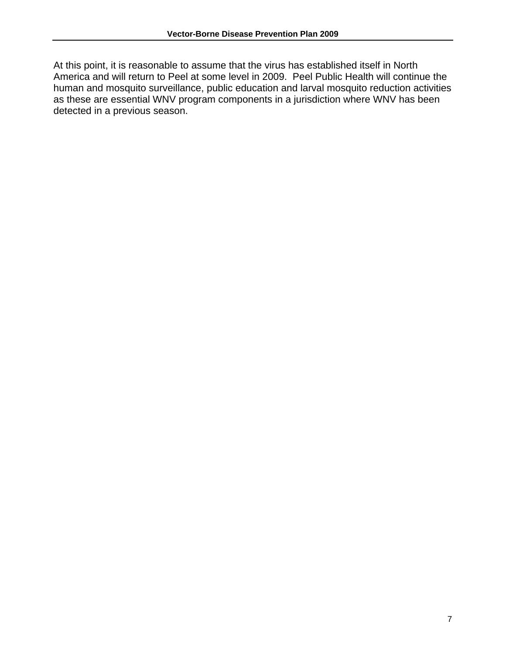At this point, it is reasonable to assume that the virus has established itself in North America and will return to Peel at some level in 2009. Peel Public Health will continue the human and mosquito surveillance, public education and larval mosquito reduction activities as these are essential WNV program components in a jurisdiction where WNV has been detected in a previous season.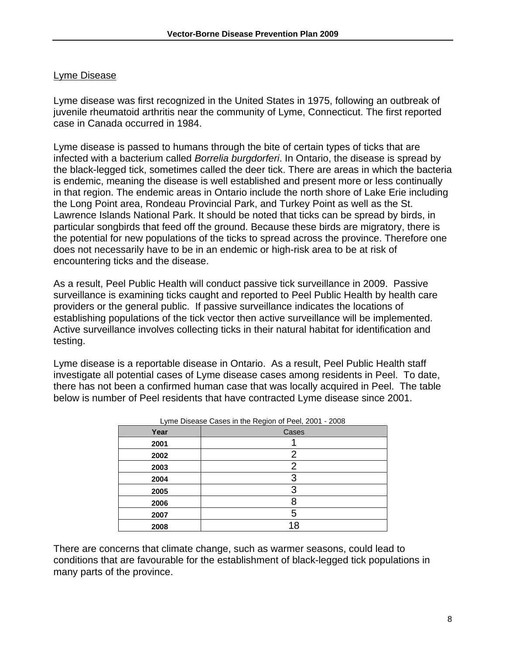#### <span id="page-9-0"></span>Lyme Disease

Lyme disease was first recognized in the United States in 1975, following an outbreak of juvenile rheumatoid arthritis near the community of Lyme, Connecticut. The first reported case in Canada occurred in 1984.

Lyme disease is passed to humans through the bite of certain types of ticks that are infected with a bacterium called *Borrelia burgdorferi*. In Ontario, the disease is spread by the black-legged tick, sometimes called the deer tick. There are areas in which the bacteria is endemic, meaning the disease is well established and present more or less continually in that region. The endemic areas in Ontario include the north shore of Lake Erie including the Long Point area, Rondeau Provincial Park, and Turkey Point as well as the St. Lawrence Islands National Park. It should be noted that ticks can be spread by birds, in particular songbirds that feed off the ground. Because these birds are migratory, there is the potential for new populations of the ticks to spread across the province. Therefore one does not necessarily have to be in an endemic or high-risk area to be at risk of encountering ticks and the disease.

As a result, Peel Public Health will conduct passive tick surveillance in 2009. Passive surveillance is examining ticks caught and reported to Peel Public Health by health care providers or the general public. If passive surveillance indicates the locations of establishing populations of the tick vector then active surveillance will be implemented. Active surveillance involves collecting ticks in their natural habitat for identification and testing.

Lyme disease is a reportable disease in Ontario. As a result, Peel Public Health staff investigate all potential cases of Lyme disease cases among residents in Peel. To date, there has not been a confirmed human case that was locally acquired in Peel. The table below is number of Peel residents that have contracted Lyme disease since 2001.

| Lyrric Disease Oases in the Region of Feel, 2001 - 2000 |       |  |  |
|---------------------------------------------------------|-------|--|--|
| Year                                                    | Cases |  |  |
| 2001                                                    |       |  |  |
| 2002                                                    | 2     |  |  |
| 2003                                                    | 2     |  |  |
| 2004                                                    | 3     |  |  |
| 2005                                                    | 3     |  |  |
| 2006                                                    |       |  |  |
| 2007                                                    | 5     |  |  |
| 2008                                                    | 18    |  |  |

| Lyme Disease Cases in the Region of Peel, 2001 - 2008 |  |  |
|-------------------------------------------------------|--|--|
|                                                       |  |  |

There are concerns that climate change, such as warmer seasons, could lead to conditions that are favourable for the establishment of black-legged tick populations in many parts of the province.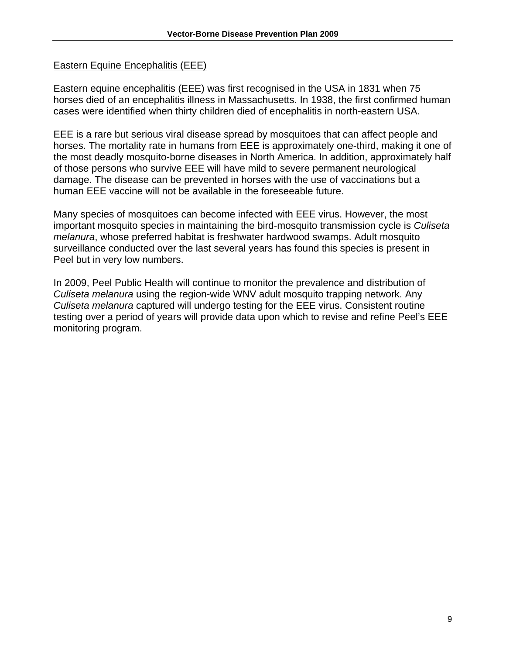#### <span id="page-10-0"></span>Eastern Equine Encephalitis (EEE)

Eastern equine encephalitis (EEE) was first recognised in the USA in 1831 when 75 horses died of an encephalitis illness in Massachusetts. In 1938, the first confirmed human cases were identified when thirty children died of encephalitis in north-eastern USA.

EEE is a rare but serious viral disease spread by mosquitoes that can affect people and horses. The mortality rate in humans from EEE is approximately one-third, making it one of the most deadly mosquito-borne diseases in North America. In addition, approximately half of those persons who survive EEE will have mild to severe permanent neurological damage. The disease can be prevented in horses with the use of vaccinations but a human EEE vaccine will not be available in the foreseeable future.

Many species of mosquitoes can become infected with EEE virus. However, the most important mosquito species in maintaining the bird-mosquito transmission cycle is *Culiseta melanura*, whose preferred habitat is freshwater hardwood swamps. Adult mosquito surveillance conducted over the last several years has found this species is present in Peel but in very low numbers.

In 2009, Peel Public Health will continue to monitor the prevalence and distribution of *Culiseta melanura* using the region-wide WNV adult mosquito trapping network. Any *Culiseta melanura* captured will undergo testing for the EEE virus. Consistent routine testing over a period of years will provide data upon which to revise and refine Peel's EEE monitoring program.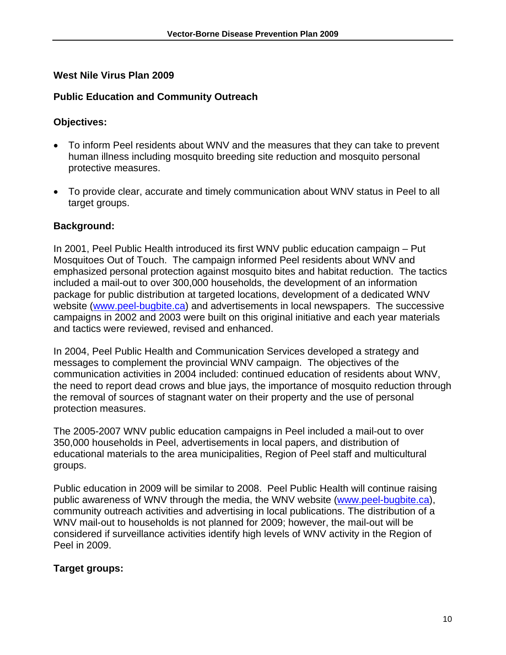#### <span id="page-11-0"></span>**West Nile Virus Plan 2009**

#### **Public Education and Community Outreach**

#### **Objectives:**

- To inform Peel residents about WNV and the measures that they can take to prevent human illness including mosquito breeding site reduction and mosquito personal protective measures.
- To provide clear, accurate and timely communication about WNV status in Peel to all target groups.

#### **Background:**

In 2001, Peel Public Health introduced its first WNV public education campaign – Put Mosquitoes Out of Touch. The campaign informed Peel residents about WNV and emphasized personal protection against mosquito bites and habitat reduction. The tactics included a mail-out to over 300,000 households, the development of an information package for public distribution at targeted locations, development of a dedicated WNV website ([www.peel-bugbite.ca](http://www.peel-bugbite.ca/)) and advertisements in local newspapers. The successive campaigns in 2002 and 2003 were built on this original initiative and each year materials and tactics were reviewed, revised and enhanced.

In 2004, Peel Public Health and Communication Services developed a strategy and messages to complement the provincial WNV campaign. The objectives of the communication activities in 2004 included: continued education of residents about WNV, the need to report dead crows and blue jays, the importance of mosquito reduction through the removal of sources of stagnant water on their property and the use of personal protection measures.

The 2005-2007 WNV public education campaigns in Peel included a mail-out to over 350,000 households in Peel, advertisements in local papers, and distribution of educational materials to the area municipalities, Region of Peel staff and multicultural groups.

Public education in 2009 will be similar to 2008. Peel Public Health will continue raising public awareness of WNV through the media, the WNV website [\(www.peel-bugbite.ca\)](http://www.peel-bugbite.ca/), community outreach activities and advertising in local publications. The distribution of a WNV mail-out to households is not planned for 2009; however, the mail-out will be considered if surveillance activities identify high levels of WNV activity in the Region of Peel in 2009.

#### **Target groups:**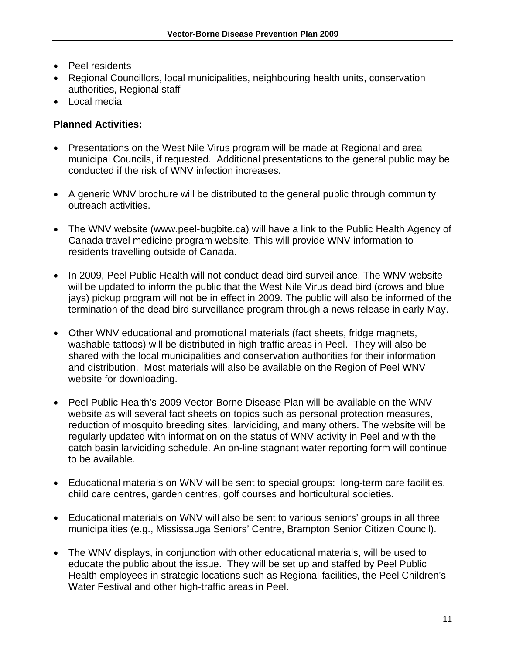- Peel residents
- Regional Councillors, local municipalities, neighbouring health units, conservation authorities, Regional staff
- Local media

#### **Planned Activities:**

- Presentations on the West Nile Virus program will be made at Regional and area municipal Councils, if requested. Additional presentations to the general public may be conducted if the risk of WNV infection increases.
- A generic WNV brochure will be distributed to the general public through community outreach activities.
- The WNV website (www.peel-bugbite.ca) will have a link to the Public Health Agency of Canada travel medicine program website. This will provide WNV information to residents travelling outside of Canada.
- In 2009, Peel Public Health will not conduct dead bird surveillance. The WNV website will be updated to inform the public that the West Nile Virus dead bird (crows and blue jays) pickup program will not be in effect in 2009. The public will also be informed of the termination of the dead bird surveillance program through a news release in early May.
- Other WNV educational and promotional materials (fact sheets, fridge magnets, washable tattoos) will be distributed in high-traffic areas in Peel. They will also be shared with the local municipalities and conservation authorities for their information and distribution. Most materials will also be available on the Region of Peel WNV website for downloading.
- Peel Public Health's 2009 Vector-Borne Disease Plan will be available on the WNV website as will several fact sheets on topics such as personal protection measures, reduction of mosquito breeding sites, larviciding, and many others. The website will be regularly updated with information on the status of WNV activity in Peel and with the catch basin larviciding schedule. An on-line stagnant water reporting form will continue to be available.
- Educational materials on WNV will be sent to special groups: long-term care facilities, child care centres, garden centres, golf courses and horticultural societies.
- Educational materials on WNV will also be sent to various seniors' groups in all three municipalities (e.g., Mississauga Seniors' Centre, Brampton Senior Citizen Council).
- The WNV displays, in conjunction with other educational materials, will be used to educate the public about the issue. They will be set up and staffed by Peel Public Health employees in strategic locations such as Regional facilities, the Peel Children's Water Festival and other high-traffic areas in Peel.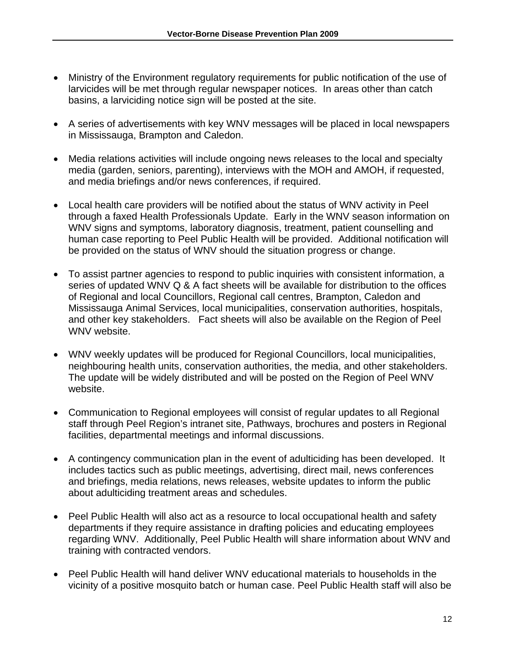- Ministry of the Environment regulatory requirements for public notification of the use of larvicides will be met through regular newspaper notices. In areas other than catch basins, a larviciding notice sign will be posted at the site.
- A series of advertisements with key WNV messages will be placed in local newspapers in Mississauga, Brampton and Caledon.
- Media relations activities will include ongoing news releases to the local and specialty media (garden, seniors, parenting), interviews with the MOH and AMOH, if requested, and media briefings and/or news conferences, if required.
- Local health care providers will be notified about the status of WNV activity in Peel through a faxed Health Professionals Update. Early in the WNV season information on WNV signs and symptoms, laboratory diagnosis, treatment, patient counselling and human case reporting to Peel Public Health will be provided. Additional notification will be provided on the status of WNV should the situation progress or change.
- To assist partner agencies to respond to public inquiries with consistent information, a series of updated WNV Q & A fact sheets will be available for distribution to the offices of Regional and local Councillors, Regional call centres, Brampton, Caledon and Mississauga Animal Services, local municipalities, conservation authorities, hospitals, and other key stakeholders. Fact sheets will also be available on the Region of Peel WNV website.
- WNV weekly updates will be produced for Regional Councillors, local municipalities, neighbouring health units, conservation authorities, the media, and other stakeholders. The update will be widely distributed and will be posted on the Region of Peel WNV website.
- Communication to Regional employees will consist of regular updates to all Regional staff through Peel Region's intranet site, Pathways, brochures and posters in Regional facilities, departmental meetings and informal discussions.
- A contingency communication plan in the event of adulticiding has been developed. It includes tactics such as public meetings, advertising, direct mail, news conferences and briefings, media relations, news releases, website updates to inform the public about adulticiding treatment areas and schedules.
- Peel Public Health will also act as a resource to local occupational health and safety departments if they require assistance in drafting policies and educating employees regarding WNV. Additionally, Peel Public Health will share information about WNV and training with contracted vendors.
- Peel Public Health will hand deliver WNV educational materials to households in the vicinity of a positive mosquito batch or human case. Peel Public Health staff will also be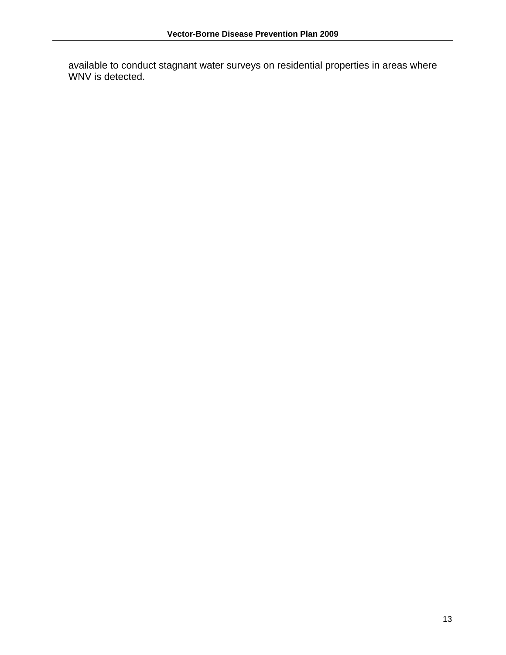available to conduct stagnant water surveys on residential properties in areas where WNV is detected.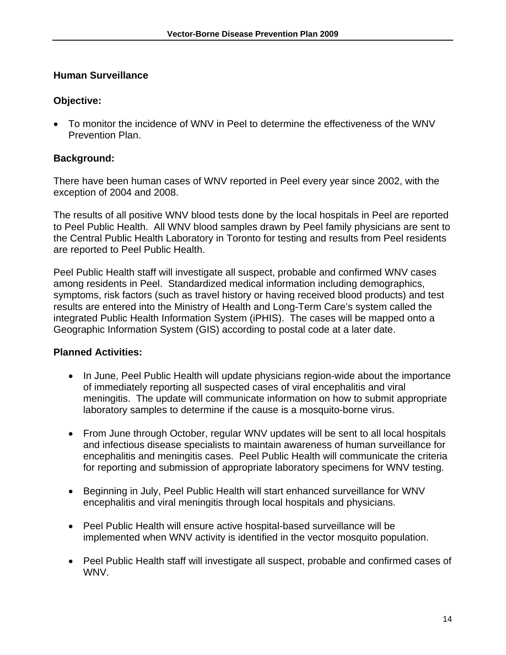#### <span id="page-15-0"></span>**Human Surveillance**

## **Objective:**

• To monitor the incidence of WNV in Peel to determine the effectiveness of the WNV Prevention Plan.

# **Background:**

There have been human cases of WNV reported in Peel every year since 2002, with the exception of 2004 and 2008.

The results of all positive WNV blood tests done by the local hospitals in Peel are reported to Peel Public Health. All WNV blood samples drawn by Peel family physicians are sent to the Central Public Health Laboratory in Toronto for testing and results from Peel residents are reported to Peel Public Health.

Peel Public Health staff will investigate all suspect, probable and confirmed WNV cases among residents in Peel. Standardized medical information including demographics, symptoms, risk factors (such as travel history or having received blood products) and test results are entered into the Ministry of Health and Long-Term Care's system called the integrated Public Health Information System (iPHIS). The cases will be mapped onto a Geographic Information System (GIS) according to postal code at a later date.

# **Planned Activities:**

- In June, Peel Public Health will update physicians region-wide about the importance of immediately reporting all suspected cases of viral encephalitis and viral meningitis. The update will communicate information on how to submit appropriate laboratory samples to determine if the cause is a mosquito-borne virus.
- From June through October, regular WNV updates will be sent to all local hospitals and infectious disease specialists to maintain awareness of human surveillance for encephalitis and meningitis cases. Peel Public Health will communicate the criteria for reporting and submission of appropriate laboratory specimens for WNV testing.
- Beginning in July, Peel Public Health will start enhanced surveillance for WNV encephalitis and viral meningitis through local hospitals and physicians.
- Peel Public Health will ensure active hospital-based surveillance will be implemented when WNV activity is identified in the vector mosquito population.
- Peel Public Health staff will investigate all suspect, probable and confirmed cases of WNV.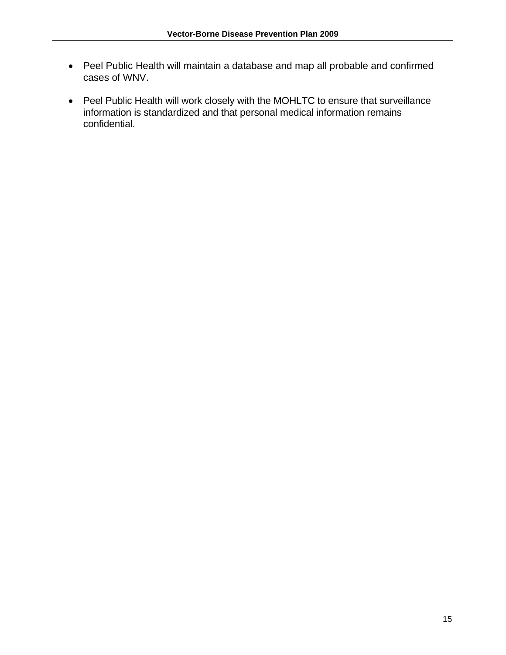- Peel Public Health will maintain a database and map all probable and confirmed cases of WNV.
- Peel Public Health will work closely with the MOHLTC to ensure that surveillance information is standardized and that personal medical information remains confidential.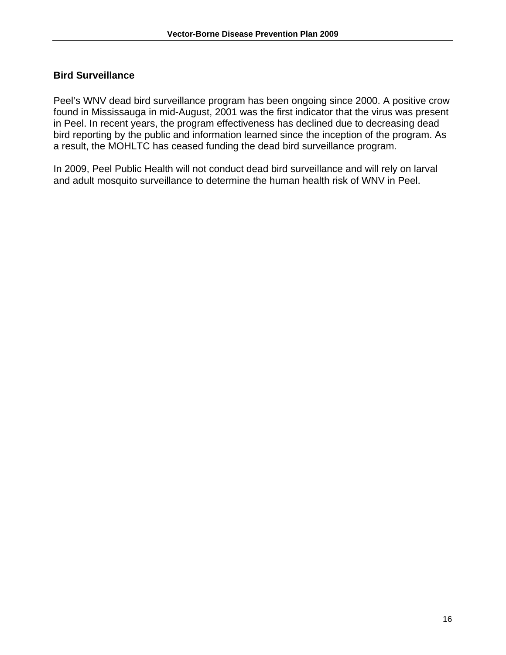#### <span id="page-17-0"></span>**Bird Surveillance**

Peel's WNV dead bird surveillance program has been ongoing since 2000. A positive crow found in Mississauga in mid-August, 2001 was the first indicator that the virus was present in Peel. In recent years, the program effectiveness has declined due to decreasing dead bird reporting by the public and information learned since the inception of the program. As a result, the MOHLTC has ceased funding the dead bird surveillance program.

In 2009, Peel Public Health will not conduct dead bird surveillance and will rely on larval and adult mosquito surveillance to determine the human health risk of WNV in Peel.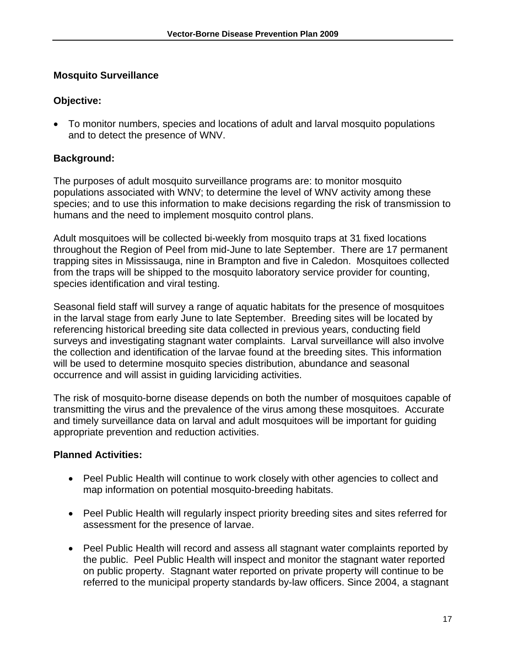#### <span id="page-18-0"></span>**Mosquito Surveillance**

#### **Objective:**

• To monitor numbers, species and locations of adult and larval mosquito populations and to detect the presence of WNV.

### **Background:**

The purposes of adult mosquito surveillance programs are: to monitor mosquito populations associated with WNV; to determine the level of WNV activity among these species; and to use this information to make decisions regarding the risk of transmission to humans and the need to implement mosquito control plans.

Adult mosquitoes will be collected bi-weekly from mosquito traps at 31 fixed locations throughout the Region of Peel from mid-June to late September. There are 17 permanent trapping sites in Mississauga, nine in Brampton and five in Caledon. Mosquitoes collected from the traps will be shipped to the mosquito laboratory service provider for counting, species identification and viral testing.

Seasonal field staff will survey a range of aquatic habitats for the presence of mosquitoes in the larval stage from early June to late September. Breeding sites will be located by referencing historical breeding site data collected in previous years, conducting field surveys and investigating stagnant water complaints. Larval surveillance will also involve the collection and identification of the larvae found at the breeding sites. This information will be used to determine mosquito species distribution, abundance and seasonal occurrence and will assist in guiding larviciding activities.

The risk of mosquito-borne disease depends on both the number of mosquitoes capable of transmitting the virus and the prevalence of the virus among these mosquitoes. Accurate and timely surveillance data on larval and adult mosquitoes will be important for guiding appropriate prevention and reduction activities.

#### **Planned Activities:**

- Peel Public Health will continue to work closely with other agencies to collect and map information on potential mosquito-breeding habitats.
- Peel Public Health will regularly inspect priority breeding sites and sites referred for assessment for the presence of larvae.
- Peel Public Health will record and assess all stagnant water complaints reported by the public. Peel Public Health will inspect and monitor the stagnant water reported on public property. Stagnant water reported on private property will continue to be referred to the municipal property standards by-law officers. Since 2004, a stagnant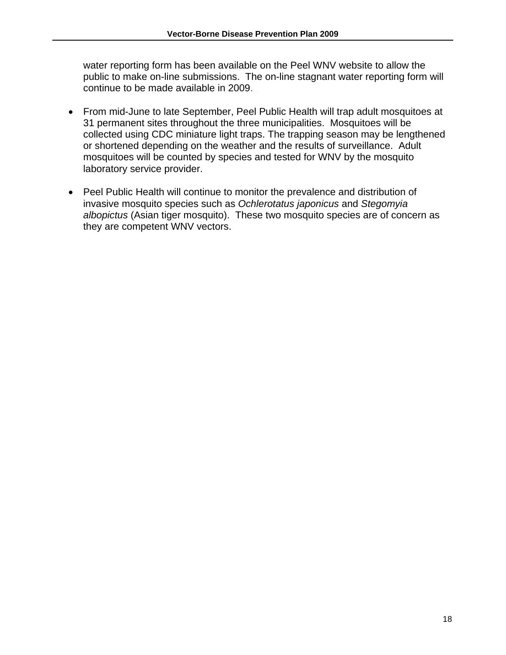water reporting form has been available on the Peel WNV website to allow the public to make on-line submissions. The on-line stagnant water reporting form will continue to be made available in 2009.

- From mid-June to late September, Peel Public Health will trap adult mosquitoes at 31 permanent sites throughout the three municipalities. Mosquitoes will be collected using CDC miniature light traps. The trapping season may be lengthened or shortened depending on the weather and the results of surveillance. Adult mosquitoes will be counted by species and tested for WNV by the mosquito laboratory service provider.
- Peel Public Health will continue to monitor the prevalence and distribution of invasive mosquito species such as *Ochlerotatus japonicus* and *Stegomyia albopictus* (Asian tiger mosquito). These two mosquito species are of concern as they are competent WNV vectors.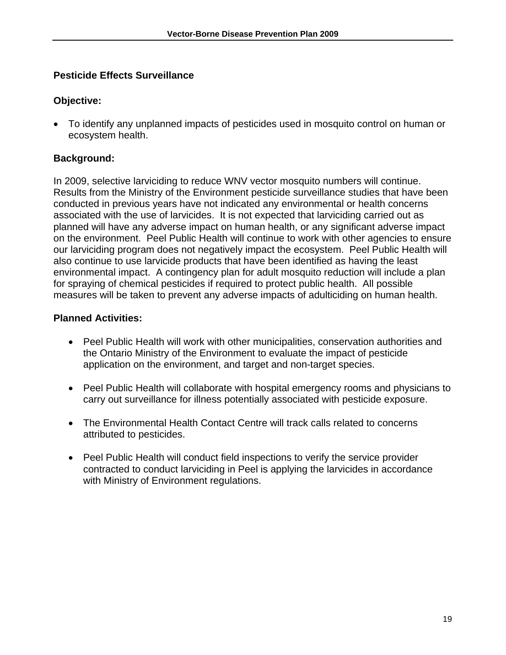### <span id="page-20-0"></span>**Pesticide Effects Surveillance**

#### **Objective:**

• To identify any unplanned impacts of pesticides used in mosquito control on human or ecosystem health.

#### **Background:**

In 2009, selective larviciding to reduce WNV vector mosquito numbers will continue. Results from the Ministry of the Environment pesticide surveillance studies that have been conducted in previous years have not indicated any environmental or health concerns associated with the use of larvicides. It is not expected that larviciding carried out as planned will have any adverse impact on human health, or any significant adverse impact on the environment. Peel Public Health will continue to work with other agencies to ensure our larviciding program does not negatively impact the ecosystem. Peel Public Health will also continue to use larvicide products that have been identified as having the least environmental impact. A contingency plan for adult mosquito reduction will include a plan for spraying of chemical pesticides if required to protect public health. All possible measures will be taken to prevent any adverse impacts of adulticiding on human health.

#### **Planned Activities:**

- Peel Public Health will work with other municipalities, conservation authorities and the Ontario Ministry of the Environment to evaluate the impact of pesticide application on the environment, and target and non-target species.
- Peel Public Health will collaborate with hospital emergency rooms and physicians to carry out surveillance for illness potentially associated with pesticide exposure.
- The Environmental Health Contact Centre will track calls related to concerns attributed to pesticides.
- Peel Public Health will conduct field inspections to verify the service provider contracted to conduct larviciding in Peel is applying the larvicides in accordance with Ministry of Environment regulations.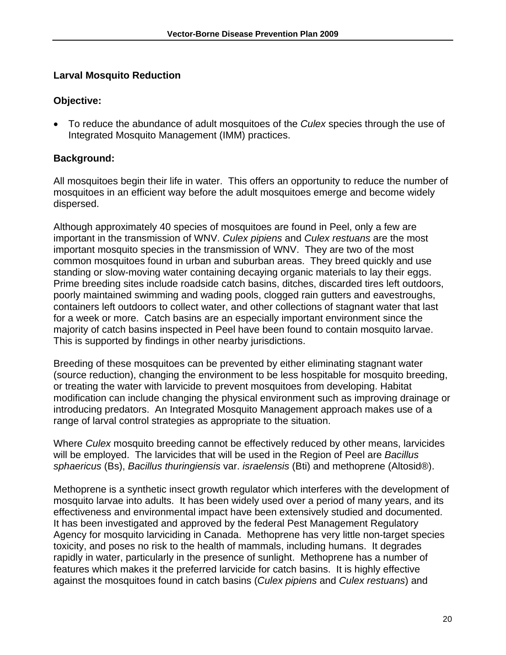## <span id="page-21-0"></span>**Larval Mosquito Reduction**

## **Objective:**

• To reduce the abundance of adult mosquitoes of the *Culex* species through the use of Integrated Mosquito Management (IMM) practices.

# **Background:**

All mosquitoes begin their life in water. This offers an opportunity to reduce the number of mosquitoes in an efficient way before the adult mosquitoes emerge and become widely dispersed.

Although approximately 40 species of mosquitoes are found in Peel, only a few are important in the transmission of WNV. *Culex pipiens* and *Culex restuans* are the most important mosquito species in the transmission of WNV. They are two of the most common mosquitoes found in urban and suburban areas. They breed quickly and use standing or slow-moving water containing decaying organic materials to lay their eggs. Prime breeding sites include roadside catch basins, ditches, discarded tires left outdoors, poorly maintained swimming and wading pools, clogged rain gutters and eavestroughs, containers left outdoors to collect water, and other collections of stagnant water that last for a week or more. Catch basins are an especially important environment since the majority of catch basins inspected in Peel have been found to contain mosquito larvae. This is supported by findings in other nearby jurisdictions.

Breeding of these mosquitoes can be prevented by either eliminating stagnant water (source reduction), changing the environment to be less hospitable for mosquito breeding, or treating the water with larvicide to prevent mosquitoes from developing. Habitat modification can include changing the physical environment such as improving drainage or introducing predators. An Integrated Mosquito Management approach makes use of a range of larval control strategies as appropriate to the situation.

Where *Culex* mosquito breeding cannot be effectively reduced by other means, larvicides will be employed. The larvicides that will be used in the Region of Peel are *Bacillus sphaericus* (Bs), *Bacillus thuringiensis* var. *israelensis* (Bti) and methoprene (Altosid®).

Methoprene is a synthetic insect growth regulator which interferes with the development of mosquito larvae into adults. It has been widely used over a period of many years, and its effectiveness and environmental impact have been extensively studied and documented. It has been investigated and approved by the federal Pest Management Regulatory Agency for mosquito larviciding in Canada. Methoprene has very little non-target species toxicity, and poses no risk to the health of mammals, including humans. It degrades rapidly in water, particularly in the presence of sunlight. Methoprene has a number of features which makes it the preferred larvicide for catch basins. It is highly effective against the mosquitoes found in catch basins (*Culex pipiens* and *Culex restuans*) and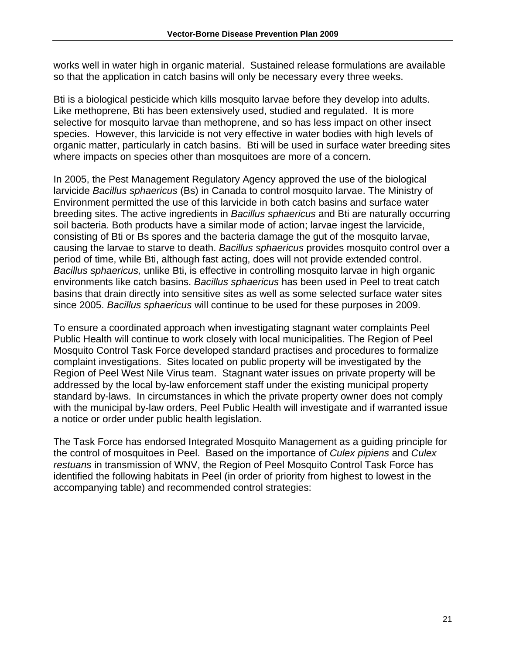works well in water high in organic material. Sustained release formulations are available so that the application in catch basins will only be necessary every three weeks.

Bti is a biological pesticide which kills mosquito larvae before they develop into adults. Like methoprene, Bti has been extensively used, studied and regulated. It is more selective for mosquito larvae than methoprene, and so has less impact on other insect species. However, this larvicide is not very effective in water bodies with high levels of organic matter, particularly in catch basins. Bti will be used in surface water breeding sites where impacts on species other than mosquitoes are more of a concern.

In 2005, the Pest Management Regulatory Agency approved the use of the biological larvicide *Bacillus sphaericus* (Bs) in Canada to control mosquito larvae. The Ministry of Environment permitted the use of this larvicide in both catch basins and surface water breeding sites. The active ingredients in *Bacillus sphaericus* and Bti are naturally occurring soil bacteria. Both products have a similar mode of action; larvae ingest the larvicide, consisting of Bti or Bs spores and the bacteria damage the gut of the mosquito larvae, causing the larvae to starve to death. *Bacillus sphaericus* provides mosquito control over a period of time, while Bti, although fast acting, does will not provide extended control. *Bacillus sphaericus,* unlike Bti, is effective in controlling mosquito larvae in high organic environments like catch basins. *Bacillus sphaericus* has been used in Peel to treat catch basins that drain directly into sensitive sites as well as some selected surface water sites since 2005. *Bacillus sphaericus* will continue to be used for these purposes in 2009.

To ensure a coordinated approach when investigating stagnant water complaints Peel Public Health will continue to work closely with local municipalities. The Region of Peel Mosquito Control Task Force developed standard practises and procedures to formalize complaint investigations. Sites located on public property will be investigated by the Region of Peel West Nile Virus team. Stagnant water issues on private property will be addressed by the local by-law enforcement staff under the existing municipal property standard by-laws. In circumstances in which the private property owner does not comply with the municipal by-law orders, Peel Public Health will investigate and if warranted issue a notice or order under public health legislation.

The Task Force has endorsed Integrated Mosquito Management as a guiding principle for the control of mosquitoes in Peel. Based on the importance of *Culex pipiens* and *Culex restuans* in transmission of WNV, the Region of Peel Mosquito Control Task Force has identified the following habitats in Peel (in order of priority from highest to lowest in the accompanying table) and recommended control strategies: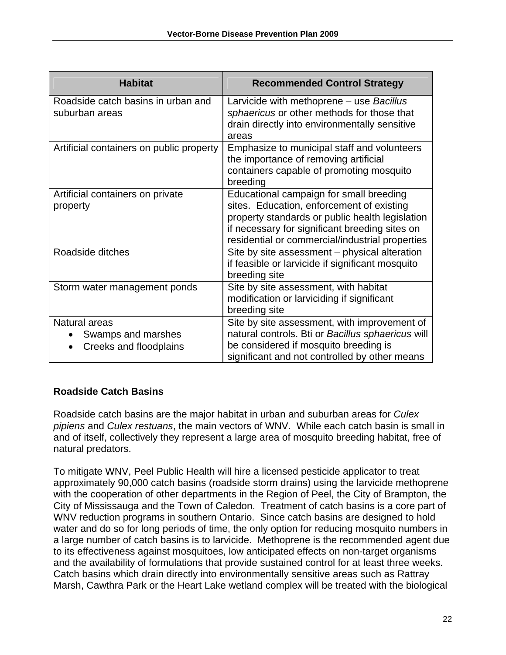| <b>Habitat</b>                                                                          | <b>Recommended Control Strategy</b>                                                                                                                                                                                                          |
|-----------------------------------------------------------------------------------------|----------------------------------------------------------------------------------------------------------------------------------------------------------------------------------------------------------------------------------------------|
| Roadside catch basins in urban and<br>suburban areas                                    | Larvicide with methoprene - use Bacillus<br>sphaericus or other methods for those that<br>drain directly into environmentally sensitive<br>areas                                                                                             |
| Artificial containers on public property                                                | Emphasize to municipal staff and volunteers<br>the importance of removing artificial<br>containers capable of promoting mosquito<br>breeding                                                                                                 |
| Artificial containers on private<br>property                                            | Educational campaign for small breeding<br>sites. Education, enforcement of existing<br>property standards or public health legislation<br>if necessary for significant breeding sites on<br>residential or commercial/industrial properties |
| Roadside ditches                                                                        | Site by site assessment – physical alteration<br>if feasible or larvicide if significant mosquito<br>breeding site                                                                                                                           |
| Storm water management ponds                                                            | Site by site assessment, with habitat<br>modification or larviciding if significant<br>breeding site                                                                                                                                         |
| Natural areas<br>Swamps and marshes<br>$\bullet$<br>Creeks and floodplains<br>$\bullet$ | Site by site assessment, with improvement of<br>natural controls. Bti or Bacillus sphaericus will<br>be considered if mosquito breeding is<br>significant and not controlled by other means                                                  |

#### **Roadside Catch Basins**

Roadside catch basins are the major habitat in urban and suburban areas for *Culex pipiens* and *Culex restuans*, the main vectors of WNV. While each catch basin is small in and of itself, collectively they represent a large area of mosquito breeding habitat, free of natural predators.

To mitigate WNV, Peel Public Health will hire a licensed pesticide applicator to treat approximately 90,000 catch basins (roadside storm drains) using the larvicide methoprene with the cooperation of other departments in the Region of Peel, the City of Brampton, the City of Mississauga and the Town of Caledon. Treatment of catch basins is a core part of WNV reduction programs in southern Ontario. Since catch basins are designed to hold water and do so for long periods of time, the only option for reducing mosquito numbers in a large number of catch basins is to larvicide. Methoprene is the recommended agent due to its effectiveness against mosquitoes, low anticipated effects on non-target organisms and the availability of formulations that provide sustained control for at least three weeks. Catch basins which drain directly into environmentally sensitive areas such as Rattray Marsh, Cawthra Park or the Heart Lake wetland complex will be treated with the biological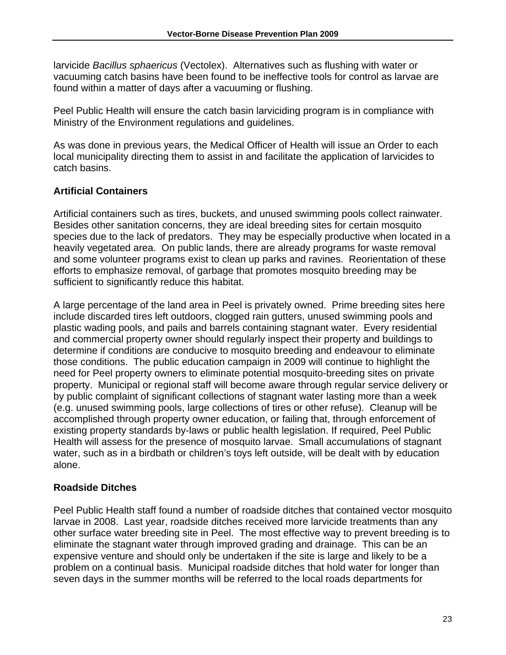larvicide *Bacillus sphaericus* (Vectolex). Alternatives such as flushing with water or vacuuming catch basins have been found to be ineffective tools for control as larvae are found within a matter of days after a vacuuming or flushing.

Peel Public Health will ensure the catch basin larviciding program is in compliance with Ministry of the Environment regulations and guidelines.

As was done in previous years, the Medical Officer of Health will issue an Order to each local municipality directing them to assist in and facilitate the application of larvicides to catch basins.

# **Artificial Containers**

Artificial containers such as tires, buckets, and unused swimming pools collect rainwater. Besides other sanitation concerns, they are ideal breeding sites for certain mosquito species due to the lack of predators. They may be especially productive when located in a heavily vegetated area. On public lands, there are already programs for waste removal and some volunteer programs exist to clean up parks and ravines. Reorientation of these efforts to emphasize removal, of garbage that promotes mosquito breeding may be sufficient to significantly reduce this habitat.

A large percentage of the land area in Peel is privately owned. Prime breeding sites here include discarded tires left outdoors, clogged rain gutters, unused swimming pools and plastic wading pools, and pails and barrels containing stagnant water. Every residential and commercial property owner should regularly inspect their property and buildings to determine if conditions are conducive to mosquito breeding and endeavour to eliminate those conditions. The public education campaign in 2009 will continue to highlight the need for Peel property owners to eliminate potential mosquito-breeding sites on private property. Municipal or regional staff will become aware through regular service delivery or by public complaint of significant collections of stagnant water lasting more than a week (e.g. unused swimming pools, large collections of tires or other refuse). Cleanup will be accomplished through property owner education, or failing that, through enforcement of existing property standards by-laws or public health legislation. If required, Peel Public Health will assess for the presence of mosquito larvae. Small accumulations of stagnant water, such as in a birdbath or children's toys left outside, will be dealt with by education alone.

# **Roadside Ditches**

Peel Public Health staff found a number of roadside ditches that contained vector mosquito larvae in 2008. Last year, roadside ditches received more larvicide treatments than any other surface water breeding site in Peel. The most effective way to prevent breeding is to eliminate the stagnant water through improved grading and drainage. This can be an expensive venture and should only be undertaken if the site is large and likely to be a problem on a continual basis. Municipal roadside ditches that hold water for longer than seven days in the summer months will be referred to the local roads departments for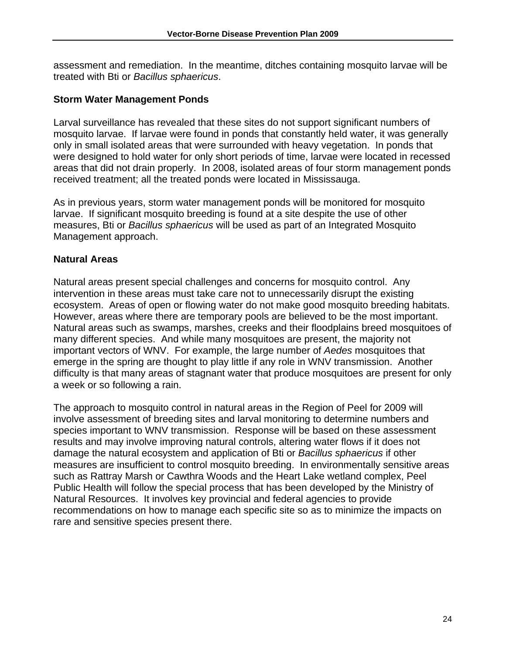assessment and remediation. In the meantime, ditches containing mosquito larvae will be treated with Bti or *Bacillus sphaericus*.

#### **Storm Water Management Ponds**

Larval surveillance has revealed that these sites do not support significant numbers of mosquito larvae. If larvae were found in ponds that constantly held water, it was generally only in small isolated areas that were surrounded with heavy vegetation. In ponds that were designed to hold water for only short periods of time, larvae were located in recessed areas that did not drain properly. In 2008, isolated areas of four storm management ponds received treatment; all the treated ponds were located in Mississauga.

As in previous years, storm water management ponds will be monitored for mosquito larvae. If significant mosquito breeding is found at a site despite the use of other measures, Bti or *Bacillus sphaericus* will be used as part of an Integrated Mosquito Management approach.

#### **Natural Areas**

Natural areas present special challenges and concerns for mosquito control. Any intervention in these areas must take care not to unnecessarily disrupt the existing ecosystem. Areas of open or flowing water do not make good mosquito breeding habitats. However, areas where there are temporary pools are believed to be the most important. Natural areas such as swamps, marshes, creeks and their floodplains breed mosquitoes of many different species. And while many mosquitoes are present, the majority not important vectors of WNV. For example, the large number of *Aedes* mosquitoes that emerge in the spring are thought to play little if any role in WNV transmission. Another difficulty is that many areas of stagnant water that produce mosquitoes are present for only a week or so following a rain.

The approach to mosquito control in natural areas in the Region of Peel for 2009 will involve assessment of breeding sites and larval monitoring to determine numbers and species important to WNV transmission. Response will be based on these assessment results and may involve improving natural controls, altering water flows if it does not damage the natural ecosystem and application of Bti or *Bacillus sphaericus* if other measures are insufficient to control mosquito breeding. In environmentally sensitive areas such as Rattray Marsh or Cawthra Woods and the Heart Lake wetland complex, Peel Public Health will follow the special process that has been developed by the Ministry of Natural Resources. It involves key provincial and federal agencies to provide recommendations on how to manage each specific site so as to minimize the impacts on rare and sensitive species present there.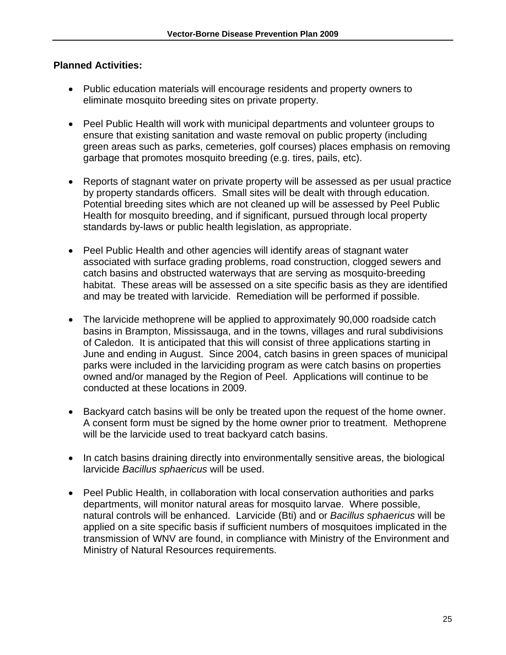#### **Planned Activities:**

- Public education materials will encourage residents and property owners to eliminate mosquito breeding sites on private property.
- Peel Public Health will work with municipal departments and volunteer groups to ensure that existing sanitation and waste removal on public property (including green areas such as parks, cemeteries, golf courses) places emphasis on removing garbage that promotes mosquito breeding (e.g. tires, pails, etc).
- Reports of stagnant water on private property will be assessed as per usual practice by property standards officers. Small sites will be dealt with through education. Potential breeding sites which are not cleaned up will be assessed by Peel Public Health for mosquito breeding, and if significant, pursued through local property standards by-laws or public health legislation, as appropriate.
- Peel Public Health and other agencies will identify areas of stagnant water associated with surface grading problems, road construction, clogged sewers and catch basins and obstructed waterways that are serving as mosquito-breeding habitat. These areas will be assessed on a site specific basis as they are identified and may be treated with larvicide. Remediation will be performed if possible.
- The larvicide methoprene will be applied to approximately 90,000 roadside catch basins in Brampton, Mississauga, and in the towns, villages and rural subdivisions of Caledon. It is anticipated that this will consist of three applications starting in June and ending in August. Since 2004, catch basins in green spaces of municipal parks were included in the larviciding program as were catch basins on properties owned and/or managed by the Region of Peel. Applications will continue to be conducted at these locations in 2009.
- Backyard catch basins will be only be treated upon the request of the home owner. A consent form must be signed by the home owner prior to treatment. Methoprene will be the larvicide used to treat backyard catch basins.
- In catch basins draining directly into environmentally sensitive areas, the biological larvicide *Bacillus sphaericus* will be used.
- Peel Public Health, in collaboration with local conservation authorities and parks departments, will monitor natural areas for mosquito larvae. Where possible, natural controls will be enhanced. Larvicide (Bti) and or *Bacillus sphaericus* will be applied on a site specific basis if sufficient numbers of mosquitoes implicated in the transmission of WNV are found, in compliance with Ministry of the Environment and Ministry of Natural Resources requirements.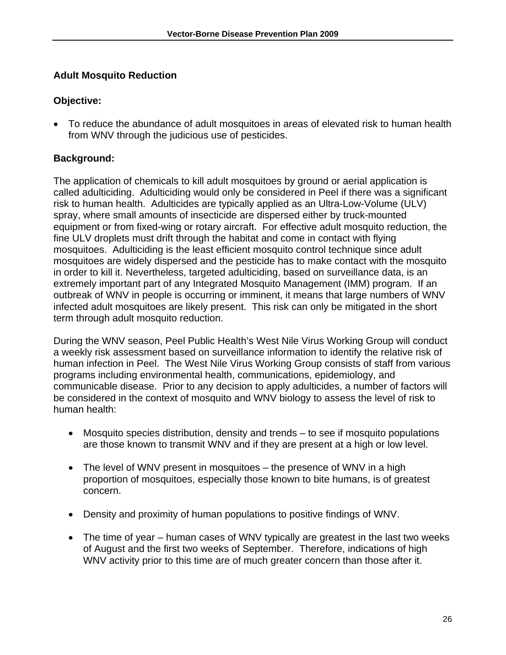# <span id="page-27-0"></span>**Adult Mosquito Reduction**

## **Objective:**

• To reduce the abundance of adult mosquitoes in areas of elevated risk to human health from WNV through the judicious use of pesticides.

# **Background:**

The application of chemicals to kill adult mosquitoes by ground or aerial application is called adulticiding. Adulticiding would only be considered in Peel if there was a significant risk to human health. Adulticides are typically applied as an Ultra-Low-Volume (ULV) spray, where small amounts of insecticide are dispersed either by truck-mounted equipment or from fixed-wing or rotary aircraft. For effective adult mosquito reduction, the fine ULV droplets must drift through the habitat and come in contact with flying mosquitoes. Adulticiding is the least efficient mosquito control technique since adult mosquitoes are widely dispersed and the pesticide has to make contact with the mosquito in order to kill it. Nevertheless, targeted adulticiding, based on surveillance data, is an extremely important part of any Integrated Mosquito Management (IMM) program. If an outbreak of WNV in people is occurring or imminent, it means that large numbers of WNV infected adult mosquitoes are likely present. This risk can only be mitigated in the short term through adult mosquito reduction.

During the WNV season, Peel Public Health's West Nile Virus Working Group will conduct a weekly risk assessment based on surveillance information to identify the relative risk of human infection in Peel. The West Nile Virus Working Group consists of staff from various programs including environmental health, communications, epidemiology, and communicable disease. Prior to any decision to apply adulticides, a number of factors will be considered in the context of mosquito and WNV biology to assess the level of risk to human health:

- Mosquito species distribution, density and trends to see if mosquito populations are those known to transmit WNV and if they are present at a high or low level.
- The level of WNV present in mosquitoes the presence of WNV in a high proportion of mosquitoes, especially those known to bite humans, is of greatest concern.
- Density and proximity of human populations to positive findings of WNV.
- The time of year human cases of WNV typically are greatest in the last two weeks of August and the first two weeks of September. Therefore, indications of high WNV activity prior to this time are of much greater concern than those after it.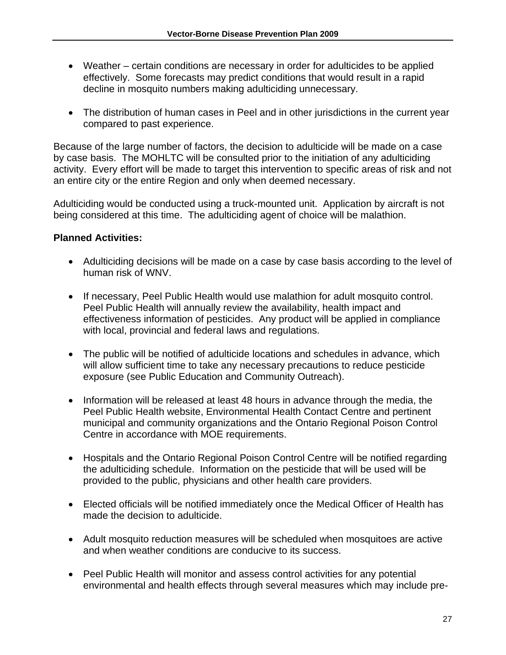- Weather certain conditions are necessary in order for adulticides to be applied effectively. Some forecasts may predict conditions that would result in a rapid decline in mosquito numbers making adulticiding unnecessary.
- The distribution of human cases in Peel and in other jurisdictions in the current year compared to past experience.

Because of the large number of factors, the decision to adulticide will be made on a case by case basis. The MOHLTC will be consulted prior to the initiation of any adulticiding activity. Every effort will be made to target this intervention to specific areas of risk and not an entire city or the entire Region and only when deemed necessary.

Adulticiding would be conducted using a truck-mounted unit. Application by aircraft is not being considered at this time. The adulticiding agent of choice will be malathion.

#### **Planned Activities:**

- Adulticiding decisions will be made on a case by case basis according to the level of human risk of WNV.
- If necessary, Peel Public Health would use malathion for adult mosquito control. Peel Public Health will annually review the availability, health impact and effectiveness information of pesticides. Any product will be applied in compliance with local, provincial and federal laws and regulations.
- The public will be notified of adulticide locations and schedules in advance, which will allow sufficient time to take any necessary precautions to reduce pesticide exposure (see Public Education and Community Outreach).
- Information will be released at least 48 hours in advance through the media, the Peel Public Health website, Environmental Health Contact Centre and pertinent municipal and community organizations and the Ontario Regional Poison Control Centre in accordance with MOE requirements.
- Hospitals and the Ontario Regional Poison Control Centre will be notified regarding the adulticiding schedule. Information on the pesticide that will be used will be provided to the public, physicians and other health care providers.
- Elected officials will be notified immediately once the Medical Officer of Health has made the decision to adulticide.
- Adult mosquito reduction measures will be scheduled when mosquitoes are active and when weather conditions are conducive to its success.
- Peel Public Health will monitor and assess control activities for any potential environmental and health effects through several measures which may include pre-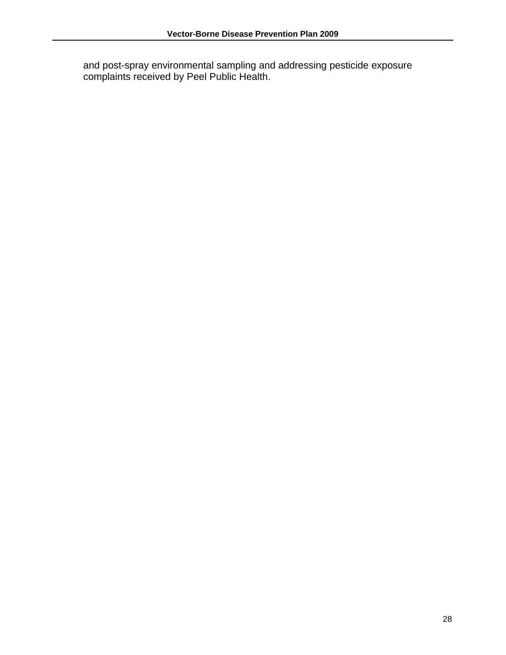and post-spray environmental sampling and addressing pesticide exposure complaints received by Peel Public Health.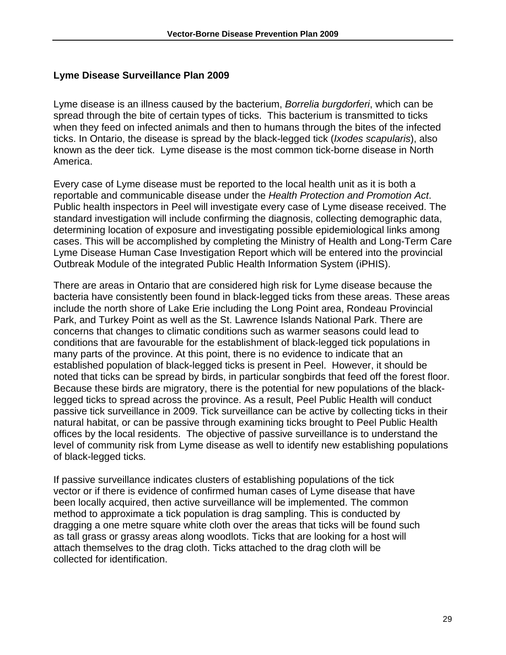#### <span id="page-30-0"></span>**Lyme Disease Surveillance Plan 2009**

Lyme disease is an illness caused by the bacterium, *Borrelia burgdorferi*, which can be spread through the bite of certain types of ticks. This bacterium is transmitted to ticks when they feed on infected animals and then to humans through the bites of the infected ticks. In Ontario, the disease is spread by the black-legged tick (*Ixodes scapularis*), also known as the deer tick. Lyme disease is the most common tick-borne disease in North America.

Every case of Lyme disease must be reported to the local health unit as it is both a reportable and communicable disease under the *Health Protection and Promotion Act*. Public health inspectors in Peel will investigate every case of Lyme disease received. The standard investigation will include confirming the diagnosis, collecting demographic data, determining location of exposure and investigating possible epidemiological links among cases. This will be accomplished by completing the Ministry of Health and Long-Term Care Lyme Disease Human Case Investigation Report which will be entered into the provincial Outbreak Module of the integrated Public Health Information System (iPHIS).

There are areas in Ontario that are considered high risk for Lyme disease because the bacteria have consistently been found in black-legged ticks from these areas. These areas include the north shore of Lake Erie including the Long Point area, Rondeau Provincial Park, and Turkey Point as well as the St. Lawrence Islands National Park. There are concerns that changes to climatic conditions such as warmer seasons could lead to conditions that are favourable for the establishment of black-legged tick populations in many parts of the province. At this point, there is no evidence to indicate that an established population of black-legged ticks is present in Peel. However, it should be noted that ticks can be spread by birds, in particular songbirds that feed off the forest floor. Because these birds are migratory, there is the potential for new populations of the blacklegged ticks to spread across the province. As a result, Peel Public Health will conduct passive tick surveillance in 2009. Tick surveillance can be active by collecting ticks in their natural habitat, or can be passive through examining ticks brought to Peel Public Health offices by the local residents. The objective of passive surveillance is to understand the level of community risk from Lyme disease as well to identify new establishing populations of black-legged ticks.

If passive surveillance indicates clusters of establishing populations of the tick vector or if there is evidence of confirmed human cases of Lyme disease that have been locally acquired, then active surveillance will be implemented. The common method to approximate a tick population is drag sampling. This is conducted by dragging a one metre square white cloth over the areas that ticks will be found such as tall grass or grassy areas along woodlots. Ticks that are looking for a host will attach themselves to the drag cloth. Ticks attached to the drag cloth will be collected for identification.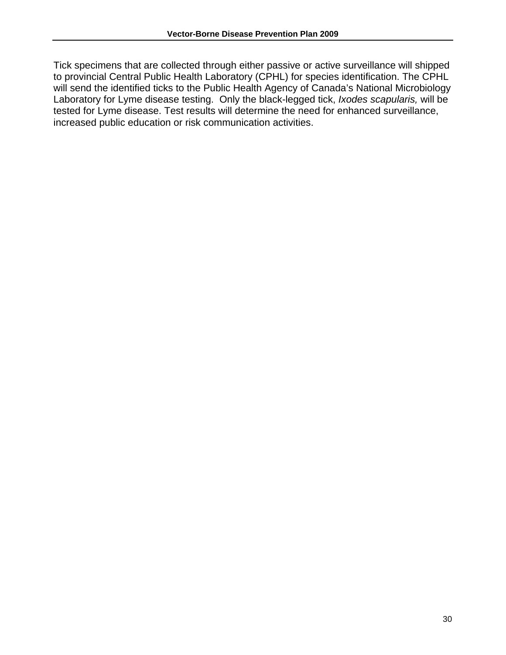Tick specimens that are collected through either passive or active surveillance will shipped to provincial Central Public Health Laboratory (CPHL) for species identification. The CPHL will send the identified ticks to the Public Health Agency of Canada's National Microbiology Laboratory for Lyme disease testing. Only the black-legged tick, *Ixodes scapularis,* will be tested for Lyme disease. Test results will determine the need for enhanced surveillance, increased public education or risk communication activities.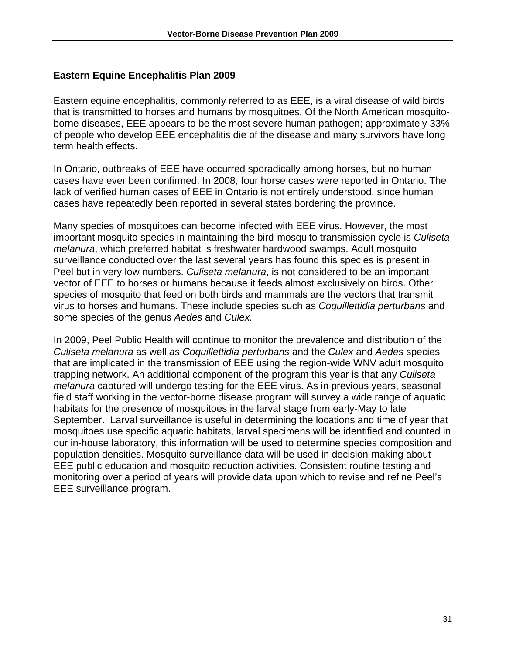#### <span id="page-32-0"></span>**Eastern Equine Encephalitis Plan 2009**

Eastern equine encephalitis, commonly referred to as EEE, is a viral disease of wild birds that is transmitted to horses and humans by mosquitoes. Of the North American mosquitoborne diseases, EEE appears to be the most severe human pathogen; approximately 33% of people who develop EEE encephalitis die of the disease and many survivors have long term health effects.

In Ontario, outbreaks of EEE have occurred sporadically among horses, but no human cases have ever been confirmed. In 2008, four horse cases were reported in Ontario. The lack of verified human cases of EEE in Ontario is not entirely understood, since human cases have repeatedly been reported in several states bordering the province.

Many species of mosquitoes can become infected with EEE virus. However, the most important mosquito species in maintaining the bird-mosquito transmission cycle is *Culiseta melanura*, which preferred habitat is freshwater hardwood swamps. Adult mosquito surveillance conducted over the last several years has found this species is present in Peel but in very low numbers. *Culiseta melanura*, is not considered to be an important vector of EEE to horses or humans because it feeds almost exclusively on birds. Other species of mosquito that feed on both birds and mammals are the vectors that transmit virus to horses and humans. These include species such as *Coquillettidia perturbans* and some species of the genus *Aedes* and *Culex.* 

In 2009, Peel Public Health will continue to monitor the prevalence and distribution of the *Culiseta melanura* as well *as Coquillettidia perturbans* and the *Culex* and *Aedes* species that are implicated in the transmission of EEE using the region-wide WNV adult mosquito trapping network. An additional component of the program this year is that any *Culiseta melanura* captured will undergo testing for the EEE virus. As in previous years, seasonal field staff working in the vector-borne disease program will survey a wide range of aquatic habitats for the presence of mosquitoes in the larval stage from early-May to late September. Larval surveillance is useful in determining the locations and time of year that mosquitoes use specific aquatic habitats, larval specimens will be identified and counted in our in-house laboratory, this information will be used to determine species composition and population densities. Mosquito surveillance data will be used in decision-making about EEE public education and mosquito reduction activities. Consistent routine testing and monitoring over a period of years will provide data upon which to revise and refine Peel's EEE surveillance program.